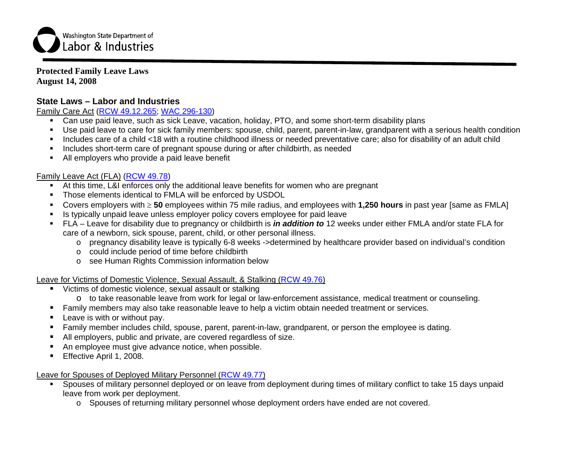

#### **Protected Family Leave Laws August 14, 2008**

# **State Laws – Labor and Industries**

### Family Care Act [\(RCW 49.12.265](http://apps.leg.wa.gov/RCW/default.aspx?cite=49.12.265); [WAC 296-130](http://apps.leg.wa.gov/WAC/default.aspx?cite=296-130))

- Can use paid leave, such as sick Leave, vacation, holiday, PTO, and some short-term disability plans
- Use paid leave to care for sick family members: spouse, child, parent, parent-in-law, grandparent with a serious health condition
- Includes care of a child <18 with a routine childhood illness or needed preventative care; also for disability of an adult child
- Includes short-term care of pregnant spouse during or after childbirth, as needed
- All employers who provide a paid leave benefit

### Family Leave Act (FLA) ([RCW 49.78](http://apps.leg.wa.gov/RCW/default.aspx?cite=49.78))

- At this time, L&I enforces only the additional leave benefits for women who are pregnant
- **Those elements identical to FMLA will be enforced by USDOL**
- $\blacksquare$ Covers employers with <sup>≥</sup> **50** employees within 75 mile radius, and employees with **1,250 hours** in past year [same as FMLA]
- $\blacksquare$ Is typically unpaid leave unless employer policy covers employee for paid leave
- FLA Leave for disability due to pregnancy or childbirth is *in addition to* 12 weeks under either FMLA and/or state FLA for care of a newborn, sick spouse, parent, child, or other personal illness.
	- <sup>o</sup> pregnancy disability leave is typically 6-8 weeks ->determined by healthcare provider based on individual's condition
	- <sup>o</sup> could include period of time before childbirth
	- o see Human Rights Commission information below

### Leave for Victims of Domestic Violence, Sexual Assault, & Stalking [\(RCW 49.76](http://apps.leg.wa.gov/RCW/default.aspx?cite=49.76))

- Victims of domestic violence, sexual assault or stalking
- o to take reasonable leave from work for legal or law-enforcement assistance, medical treatment or counseling.
- Г Family members may also take reasonable leave to help a victim obtain needed treatment or services.
- Г Leave is with or without pay.
- $\blacksquare$ Family member includes child, spouse, parent, parent-in-law, grandparent, or person the employee is dating.
- Г All employers, public and private, are covered regardless of size.
- $\blacksquare$ An employee must give advance notice, when possible.
- $\blacksquare$ Effective April 1, 2008.

#### Leave for Spouses of Deployed Military Personnel ([RCW 49.77](http://apps.leg.wa.gov/RCW/default.aspx?cite=49.77))

- Spouses of military personnel deployed or on leave from deployment during times of military conflict to take 15 days unpaid leave from work per deployment.
	- o Spouses of returning military personnel whose deployment orders have ended are not covered.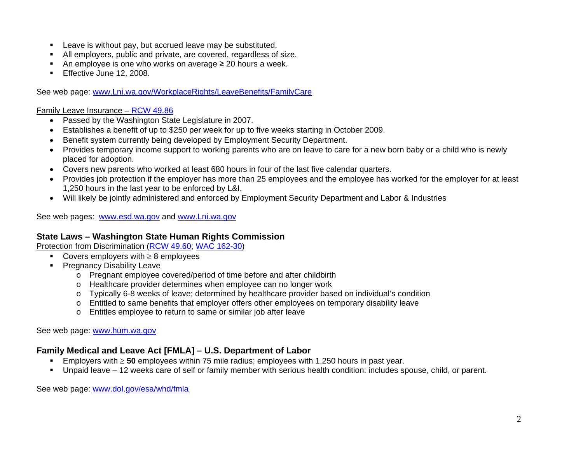- **EXECT:** Leave is without pay, but accrued leave may be substituted.
- Г All employers, public and private, are covered, regardless of size.
- $\blacksquare$ An employee is one who works on average  $\geq 20$  hours a week.
- $\blacksquare$ Effective June 12, 2008.

See web page: [www.Lni.wa.gov/WorkplaceRights/LeaveBenefits/FamilyCare](http://www.lni.wa.gov/WorkplaceRights/LeaveBenefits/FamilyCare)

#### Family Leave Insurance – [RCW 49.86](http://apps.leg.wa.gov/RCW/default.aspx?cite=49.86)

- Passed by the Washington State Legislature in 2007.
- Establishes a benefit of up to \$250 per week for up to five weeks starting in October 2009.
- Benefit system currently being developed by Employment Security Department.
- Provides temporary income support to working parents who are on leave to care for a new born baby or a child who is newly placed for adoption.
- Covers new parents who worked at least 680 hours in four of the last five calendar quarters.
- Provides job protection if the employer has more than 25 employees and the employee has worked for the employer for at least 1,250 hours in the last year to be enforced by L&I.
- Will likely be jointly administered and enforced by Employment Security Department and Labor & Industries

See web pages: [www.esd.wa.gov](http://www.esd.wa.gov/) and [www.Lni.wa.gov](http://www.lni.wa.gov/)

## **State Laws – Washington State Human Rights Commission**

Protection from Discrimination ([RCW 49.60](http://apps.leg.wa.gov/RCW/default.aspx?cite=49.60); [WAC 162-30](http://apps.leg.wa.gov/WAC/default.aspx?cite=162-30))

- Covers employers with  $\geq 8$  employees
- **Pregnancy Disability Leave** 
	- <sup>o</sup> Pregnant employee covered/period of time before and after childbirth
	- <sup>o</sup> Healthcare provider determines when employee can no longer work
	- o Typically 6-8 weeks of leave; determined by healthcare provider based on individual's condition
	- <sup>o</sup> Entitled to same benefits that employer offers other employees on temporary disability leave
	- <sup>o</sup> Entitles employee to return to same or similar job after leave

See web page: [www.hum.wa.gov](http://www.hum.wa.gov/index.html)

# **Family Medical and Leave Act [FMLA] – U.S. Department of Labor**

- Employers with <sup>≥</sup> **50** employees within 75 mile radius; employees with 1,250 hours in past year.
- Unpaid leave 12 weeks care of self or family member with serious health condition: includes spouse, child, or parent.

See web page: [www.dol.gov/esa/whd/fmla](http://www.dol.gov/esa/whd/fmla)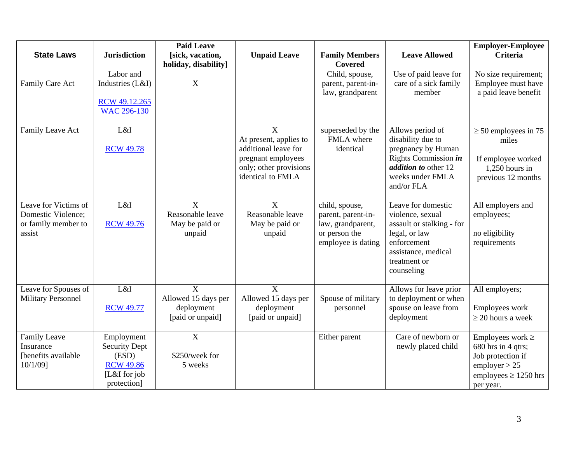|                                                                             |                                                                                                | <b>Paid Leave</b>                                            |                                                                                                                          |                                                                                                  |                                                                                                                                                          | <b>Employer-Employee</b>                                                                                                    |
|-----------------------------------------------------------------------------|------------------------------------------------------------------------------------------------|--------------------------------------------------------------|--------------------------------------------------------------------------------------------------------------------------|--------------------------------------------------------------------------------------------------|----------------------------------------------------------------------------------------------------------------------------------------------------------|-----------------------------------------------------------------------------------------------------------------------------|
| <b>State Laws</b>                                                           | <b>Jurisdiction</b>                                                                            | [sick, vacation,<br>holiday, disability]                     | <b>Unpaid Leave</b>                                                                                                      | <b>Family Members</b><br><b>Covered</b>                                                          | <b>Leave Allowed</b>                                                                                                                                     | Criteria                                                                                                                    |
| Family Care Act                                                             | Labor and<br>Industries (L&I)<br>RCW 49.12.265<br>WAC 296-130                                  | $\boldsymbol{\mathrm{X}}$                                    |                                                                                                                          | Child, spouse,<br>parent, parent-in-<br>law, grandparent                                         | Use of paid leave for<br>care of a sick family<br>member                                                                                                 | No size requirement;<br>Employee must have<br>a paid leave benefit                                                          |
| Family Leave Act                                                            | L&I<br><b>RCW 49.78</b>                                                                        |                                                              | X<br>At present, applies to<br>additional leave for<br>pregnant employees<br>only; other provisions<br>identical to FMLA | superseded by the<br>FMLA where<br>identical                                                     | Allows period of<br>disability due to<br>pregnancy by Human<br>Rights Commission in<br><i>addition to other 12</i><br>weeks under FMLA<br>and/or FLA     | $\geq$ 50 employees in 75<br>miles<br>If employee worked<br>$1,250$ hours in<br>previous 12 months                          |
| Leave for Victims of<br>Domestic Violence;<br>or family member to<br>assist | L&I<br><b>RCW 49.76</b>                                                                        | $\mathbf{X}$<br>Reasonable leave<br>May be paid or<br>unpaid | $\mathbf{X}$<br>Reasonable leave<br>May be paid or<br>unpaid                                                             | child, spouse,<br>parent, parent-in-<br>law, grandparent,<br>or person the<br>employee is dating | Leave for domestic<br>violence, sexual<br>assault or stalking - for<br>legal, or law<br>enforcement<br>assistance, medical<br>treatment or<br>counseling | All employers and<br>employees;<br>no eligibility<br>requirements                                                           |
| Leave for Spouses of<br><b>Military Personnel</b>                           | L&I<br><b>RCW 49.77</b>                                                                        | X<br>Allowed 15 days per<br>deployment<br>[paid or unpaid]   | X<br>Allowed 15 days per<br>deployment<br>[paid or unpaid]                                                               | Spouse of military<br>personnel                                                                  | Allows for leave prior<br>to deployment or when<br>spouse on leave from<br>deployment                                                                    | All employers;<br>Employees work<br>$\geq$ 20 hours a week                                                                  |
| <b>Family Leave</b><br>Insurance<br>[benefits available<br>10/1/09]         | Employment<br><b>Security Dept</b><br>(ESD)<br><b>RCW 49.86</b><br>[L&I for job<br>protection] | $\overline{X}$<br>\$250/week for<br>5 weeks                  |                                                                                                                          | Either parent                                                                                    | Care of newborn or<br>newly placed child                                                                                                                 | Employees work $\geq$<br>680 hrs in 4 qtrs;<br>Job protection if<br>emplayer > 25<br>employees $\geq$ 1250 hrs<br>per year. |